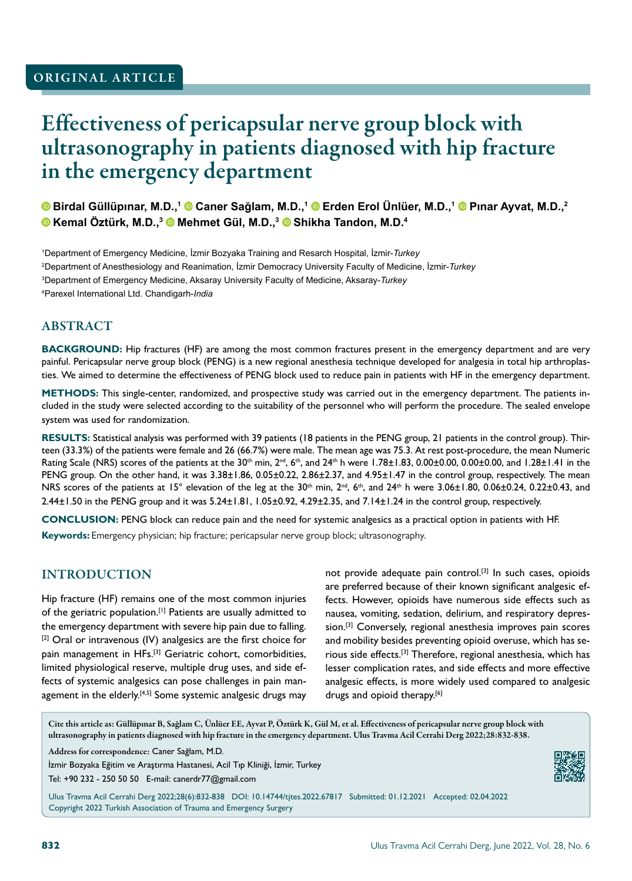# Effectiveness of pericapsular nerve group block with ultrasonography in patients diagnosed with hip fracture in the emergency department

**Birdal Güllüpınar, M.D.,<sup>1</sup> Caner Sağlam, M.D.,<sup>1</sup> Erden Erol Ünlüer, M.D.,<sup>1</sup> Pınar Ayvat, M.D.,<sup>2</sup> Kemal Öztürk, M.D.,<sup>3</sup> Mehmet Gül, M.D.,<sup>3</sup> Shikha Tandon, M.D.<sup>4</sup>**

 Department of Emergency Medicine, İzmir Bozyaka Training and Resarch Hospital, İzmir-*Turkey* Department of Anesthesiology and Reanimation, İzmir Democracy University Faculty of Medicine, İzmir-*Turkey* Department of Emergency Medicine, Aksaray University Faculty of Medicine, Aksaray-*Turkey* Parexel International Ltd. Chandigarh-*India*

## ABSTRACT

**BACKGROUND:** Hip fractures (HF) are among the most common fractures present in the emergency department and are very painful. Pericapsular nerve group block (PENG) is a new regional anesthesia technique developed for analgesia in total hip arthroplasties. We aimed to determine the effectiveness of PENG block used to reduce pain in patients with HF in the emergency department.

**METHODS:** This single-center, randomized, and prospective study was carried out in the emergency department. The patients included in the study were selected according to the suitability of the personnel who will perform the procedure. The sealed envelope system was used for randomization.

**RESULTS:** Statistical analysis was performed with 39 patients (18 patients in the PENG group, 21 patients in the control group). Thirteen (33.3%) of the patients were female and 26 (66.7%) were male. The mean age was 75.3. At rest post-procedure, the mean Numeric Rating Scale (NRS) scores of the patients at the 30<sup>th</sup> min, 2<sup>nd</sup>, 6<sup>th</sup>, and 24<sup>th</sup> h were 1.78±1.83, 0.00±0.00, 0.00±0.00, and 1.28±1.41 in the PENG group. On the other hand, it was 3.38±1.86, 0.05±0.22, 2.86±2.37, and 4.95±1.47 in the control group, respectively. The mean NRS scores of the patients at 15° elevation of the leg at the  $30<sup>th</sup>$  min,  $2<sup>nd</sup>$ ,  $6<sup>th</sup>$ , and  $24<sup>th</sup>$  h were  $3.06\pm1.80$ ,  $0.06\pm0.24$ ,  $0.22\pm0.43$ , and 2.44±1.50 in the PENG group and it was 5.24±1.81, 1.05±0.92, 4.29±2.35, and 7.14±1.24 in the control group, respectively.

**CONCLUSION:** PENG block can reduce pain and the need for systemic analgesics as a practical option in patients with HF. **Keywords:** Emergency physician; hip fracture; pericapsular nerve group block; ultrasonography.

## INTRODUCTION

Hip fracture (HF) remains one of the most common injuries of the geriatric population.<sup>[1]</sup> Patients are usually admitted to the emergency department with severe hip pain due to falling. [2] Oral or intravenous (IV) analgesics are the first choice for pain management in HFs.<sup>[3]</sup> Geriatric cohort, comorbidities, limited physiological reserve, multiple drug uses, and side effects of systemic analgesics can pose challenges in pain management in the elderly.<sup>[4,5]</sup> Some systemic analgesic drugs may not provide adequate pain control.<sup>[3]</sup> In such cases, opioids are preferred because of their known significant analgesic effects. However, opioids have numerous side effects such as nausea, vomiting, sedation, delirium, and respiratory depression.[3] Conversely, regional anesthesia improves pain scores and mobility besides preventing opioid overuse, which has serious side effects.[3] Therefore, regional anesthesia, which has lesser complication rates, and side effects and more effective analgesic effects, is more widely used compared to analgesic drugs and opioid therapy.<sup>[6]</sup>

Cite this article as: Güllüpınar B, Sağlam C, Ünlüer EE, Ayvat P, Öztürk K, Gül M, et al. Effectiveness of pericapsular nerve group block with ultrasonography in patients diagnosed with hip fracture in the emergency department. Ulus Travma Acil Cerrahi Derg 2022;28:832-838.

Address for correspondence: Caner Sağlam, M.D.

İzmir Bozyaka Eğitim ve Araştırma Hastanesi, Acil Tıp Kliniği, İzmir, Turkey Tel: +90 232 - 250 50 50 E-mail: canerdr77@gmail.com



Ulus Travma Acil Cerrahi Derg 2022;28(6):832-838 DOI: 10.14744/tjtes.2022.67817 Submitted: 01.12.2021 Accepted: 02.04.2022 Copyright 2022 Turkish Association of Trauma and Emergency Surgery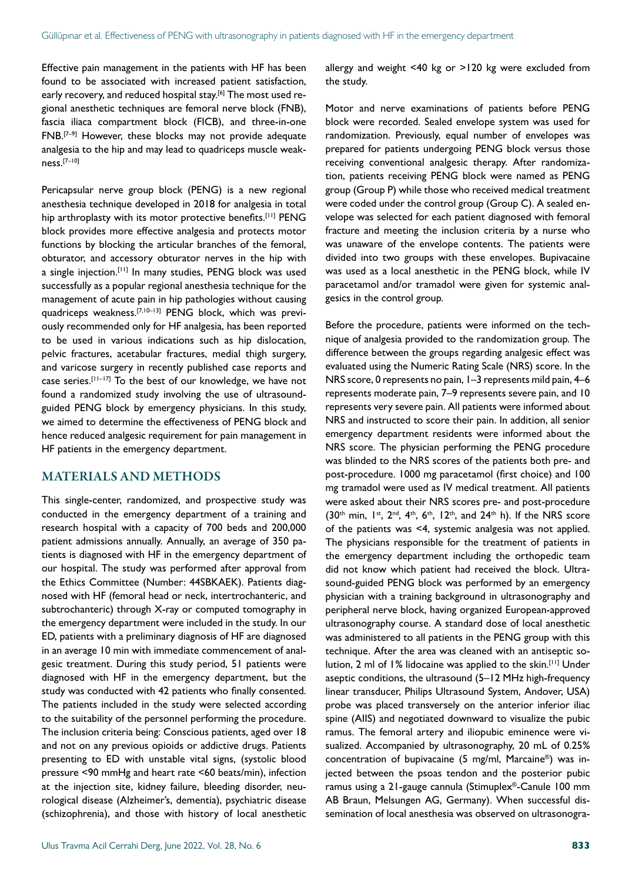Effective pain management in the patients with HF has been found to be associated with increased patient satisfaction, early recovery, and reduced hospital stay.<sup>[6]</sup> The most used regional anesthetic techniques are femoral nerve block (FNB), fascia iliaca compartment block (FICB), and three-in-one FNB.[7–9] However, these blocks may not provide adequate analgesia to the hip and may lead to quadriceps muscle weakness.[7–10]

Pericapsular nerve group block (PENG) is a new regional anesthesia technique developed in 2018 for analgesia in total hip arthroplasty with its motor protective benefits.<sup>[11]</sup> PENG block provides more effective analgesia and protects motor functions by blocking the articular branches of the femoral, obturator, and accessory obturator nerves in the hip with a single injection.<sup>[11]</sup> In many studies, PENG block was used successfully as a popular regional anesthesia technique for the management of acute pain in hip pathologies without causing quadriceps weakness.[7,10–13] PENG block, which was previously recommended only for HF analgesia, has been reported to be used in various indications such as hip dislocation, pelvic fractures, acetabular fractures, medial thigh surgery, and varicose surgery in recently published case reports and case series.[11–17] To the best of our knowledge, we have not found a randomized study involving the use of ultrasoundguided PENG block by emergency physicians. In this study, we aimed to determine the effectiveness of PENG block and hence reduced analgesic requirement for pain management in HF patients in the emergency department.

## MATERIALS AND METHODS

This single-center, randomized, and prospective study was conducted in the emergency department of a training and research hospital with a capacity of 700 beds and 200,000 patient admissions annually. Annually, an average of 350 patients is diagnosed with HF in the emergency department of our hospital. The study was performed after approval from the Ethics Committee (Number: 44SBKAEK). Patients diagnosed with HF (femoral head or neck, intertrochanteric, and subtrochanteric) through X-ray or computed tomography in the emergency department were included in the study. In our ED, patients with a preliminary diagnosis of HF are diagnosed in an average 10 min with immediate commencement of analgesic treatment. During this study period, 51 patients were diagnosed with HF in the emergency department, but the study was conducted with 42 patients who finally consented. The patients included in the study were selected according to the suitability of the personnel performing the procedure. The inclusion criteria being: Conscious patients, aged over 18 and not on any previous opioids or addictive drugs. Patients presenting to ED with unstable vital signs, (systolic blood pressure <90 mmHg and heart rate <60 beats/min), infection at the injection site, kidney failure, bleeding disorder, neurological disease (Alzheimer's, dementia), psychiatric disease (schizophrenia), and those with history of local anesthetic allergy and weight <40 kg or >120 kg were excluded from the study.

Motor and nerve examinations of patients before PENG block were recorded. Sealed envelope system was used for randomization. Previously, equal number of envelopes was prepared for patients undergoing PENG block versus those receiving conventional analgesic therapy. After randomization, patients receiving PENG block were named as PENG group (Group P) while those who received medical treatment were coded under the control group (Group C). A sealed envelope was selected for each patient diagnosed with femoral fracture and meeting the inclusion criteria by a nurse who was unaware of the envelope contents. The patients were divided into two groups with these envelopes. Bupivacaine was used as a local anesthetic in the PENG block, while IV paracetamol and/or tramadol were given for systemic analgesics in the control group.

Before the procedure, patients were informed on the technique of analgesia provided to the randomization group. The difference between the groups regarding analgesic effect was evaluated using the Numeric Rating Scale (NRS) score. In the NRS score, 0 represents no pain, 1–3 represents mild pain, 4–6 represents moderate pain, 7–9 represents severe pain, and 10 represents very severe pain. All patients were informed about NRS and instructed to score their pain. In addition, all senior emergency department residents were informed about the NRS score. The physician performing the PENG procedure was blinded to the NRS scores of the patients both pre- and post-procedure. 1000 mg paracetamol (first choice) and 100 mg tramadol were used as IV medical treatment. All patients were asked about their NRS scores pre- and post-procedure  $(30<sup>th</sup>$  min,  $1<sup>st</sup>$ ,  $2<sup>nd</sup>$ ,  $4<sup>th</sup>$ ,  $6<sup>th</sup>$ ,  $12<sup>th</sup>$ , and  $24<sup>th</sup>$  h). If the NRS score of the patients was <4, systemic analgesia was not applied. The physicians responsible for the treatment of patients in the emergency department including the orthopedic team did not know which patient had received the block. Ultrasound-guided PENG block was performed by an emergency physician with a training background in ultrasonography and peripheral nerve block, having organized European-approved ultrasonography course. A standard dose of local anesthetic was administered to all patients in the PENG group with this technique. After the area was cleaned with an antiseptic solution, 2 ml of 1% lidocaine was applied to the skin.<sup>[11]</sup> Under aseptic conditions, the ultrasound (5–12 MHz high-frequency linear transducer, Philips Ultrasound System, Andover, USA) probe was placed transversely on the anterior inferior iliac spine (AIIS) and negotiated downward to visualize the pubic ramus. The femoral artery and iliopubic eminence were visualized. Accompanied by ultrasonography, 20 mL of 0.25% concentration of bupivacaine (5 mg/ml, Marcaine®) was injected between the psoas tendon and the posterior pubic ramus using a 21-gauge cannula (Stimuplex®-Canule 100 mm AB Braun, Melsungen AG, Germany). When successful dissemination of local anesthesia was observed on ultrasonogra-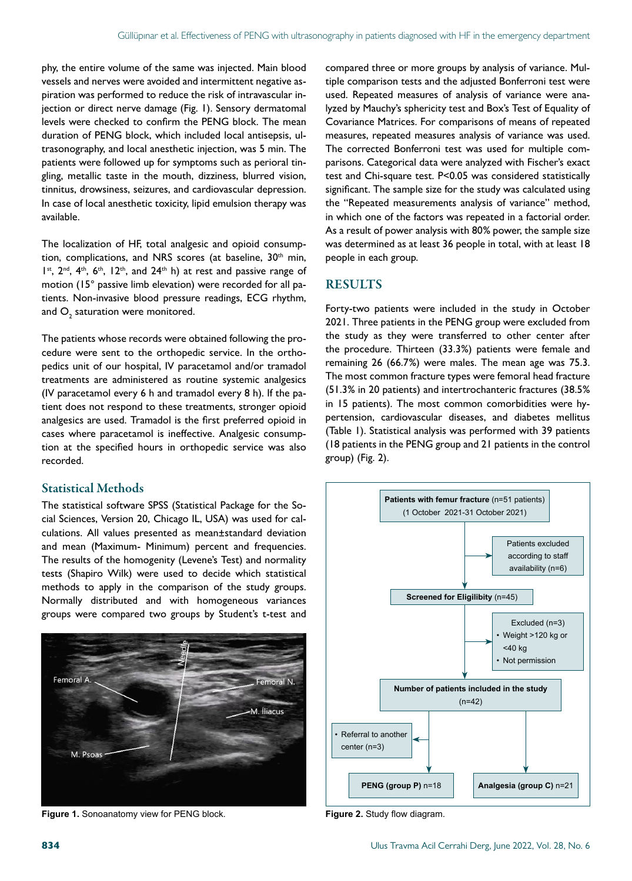phy, the entire volume of the same was injected. Main blood vessels and nerves were avoided and intermittent negative aspiration was performed to reduce the risk of intravascular injection or direct nerve damage (Fig. 1). Sensory dermatomal levels were checked to confirm the PENG block. The mean duration of PENG block, which included local antisepsis, ultrasonography, and local anesthetic injection, was 5 min. The patients were followed up for symptoms such as perioral tingling, metallic taste in the mouth, dizziness, blurred vision, tinnitus, drowsiness, seizures, and cardiovascular depression. In case of local anesthetic toxicity, lipid emulsion therapy was available.

The localization of HF, total analgesic and opioid consumption, complications, and NRS scores (at baseline,  $30<sup>th</sup>$  min, Ist, 2<sup>nd</sup>, 4<sup>th</sup>, 6<sup>th</sup>, 12<sup>th</sup>, and 24<sup>th</sup> h) at rest and passive range of motion (15° passive limb elevation) were recorded for all patients. Non-invasive blood pressure readings, ECG rhythm, and  $\mathsf{O}_\mathfrak{z}$  saturation were monitored.

The patients whose records were obtained following the procedure were sent to the orthopedic service. In the orthopedics unit of our hospital, IV paracetamol and/or tramadol treatments are administered as routine systemic analgesics (IV paracetamol every 6 h and tramadol every 8 h). If the patient does not respond to these treatments, stronger opioid analgesics are used. Tramadol is the first preferred opioid in cases where paracetamol is ineffective. Analgesic consumption at the specified hours in orthopedic service was also recorded.

## Statistical Methods

The statistical software SPSS (Statistical Package for the Social Sciences, Version 20, Chicago IL, USA) was used for calculations. All values presented as mean±standard deviation and mean (Maximum- Minimum) percent and frequencies. The results of the homogenity (Levene's Test) and normality tests (Shapiro Wilk) were used to decide which statistical methods to apply in the comparison of the study groups. Normally distributed and with homogeneous variances groups were compared two groups by Student's t-test and



**Figure 1.** Sonoanatomy view for PENG block. **Figure 2.** Study flow diagram.

compared three or more groups by analysis of variance. Multiple comparison tests and the adjusted Bonferroni test were used. Repeated measures of analysis of variance were analyzed by Mauchy's sphericity test and Box's Test of Equality of Covariance Matrices. For comparisons of means of repeated measures, repeated measures analysis of variance was used. The corrected Bonferroni test was used for multiple comparisons. Categorical data were analyzed with Fischer's exact test and Chi-square test. P<0.05 was considered statistically significant. The sample size for the study was calculated using the "Repeated measurements analysis of variance" method, in which one of the factors was repeated in a factorial order. As a result of power analysis with 80% power, the sample size was determined as at least 36 people in total, with at least 18 people in each group.

## RESULTS

Forty-two patients were included in the study in October 2021. Three patients in the PENG group were excluded from the study as they were transferred to other center after the procedure. Thirteen (33.3%) patients were female and remaining 26 (66.7%) were males. The mean age was 75.3. The most common fracture types were femoral head fracture (51.3% in 20 patients) and intertrochanteric fractures (38.5% in 15 patients). The most common comorbidities were hypertension, cardiovascular diseases, and diabetes mellitus (Table 1). Statistical analysis was performed with 39 patients (18 patients in the PENG group and 21 patients in the control group) (Fig. 2).

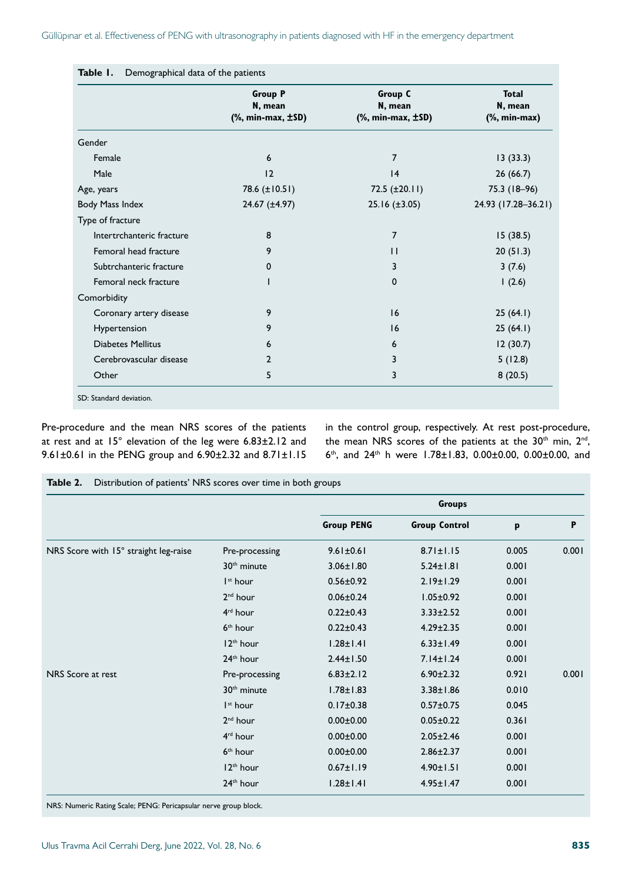|                           | <b>Group P</b><br>N, mean<br>$(% \mathbb{R}^2)$ , min-max, $\pm SD$ ) | Group C<br>N, mean<br>$(% \mathbb{R}^2)$ , min-max, $\pm SD$ ) | <b>Total</b><br>N, mean<br>$%$ , min-max) |  |
|---------------------------|-----------------------------------------------------------------------|----------------------------------------------------------------|-------------------------------------------|--|
| Gender                    |                                                                       |                                                                |                                           |  |
| Female                    | 6                                                                     | $\overline{7}$                                                 | 13(33.3)                                  |  |
| Male                      | 12                                                                    | 4                                                              | 26(66.7)                                  |  |
| Age, years                | 78.6 (±10.51)                                                         | 72.5 $(\pm 20.11)$                                             | 75.3 (18-96)                              |  |
| Body Mass Index           | $24.67 \ (\pm 4.97)$                                                  | $25.16 (\pm 3.05)$                                             | 24.93 (17.28-36.21)                       |  |
| Type of fracture          |                                                                       |                                                                |                                           |  |
| Intertrchanteric fracture | 8                                                                     | $\overline{7}$                                                 | 15(38.5)                                  |  |
| Femoral head fracture     | 9                                                                     | $\mathbf{H}$                                                   | 20(51.3)                                  |  |
| Subtrchanteric fracture   | 0                                                                     | 3                                                              | 3(7.6)                                    |  |
| Femoral neck fracture     | I                                                                     | $\mathbf{0}$                                                   | 1(2.6)                                    |  |
| Comorbidity               |                                                                       |                                                                |                                           |  |
| Coronary artery disease   | 9                                                                     | 16                                                             | 25(64.1)                                  |  |
| Hypertension              | 9                                                                     | 16                                                             | 25(64.1)                                  |  |
| <b>Diabetes Mellitus</b>  | 6                                                                     | 6                                                              | 12(30.7)                                  |  |
| Cerebrovascular disease   | $\mathbf{2}$                                                          | 3                                                              | 5(12.8)                                   |  |
| Other                     | 5                                                                     | 3                                                              | 8(20.5)                                   |  |

Pre-procedure and the mean NRS scores of the patients at rest and at 15° elevation of the leg were 6.83±2.12 and 9.61±0.61 in the PENG group and 6.90±2.32 and 8.71±1.15 in the control group, respectively. At rest post-procedure, the mean NRS scores of the patients at the 30<sup>th</sup> min, 2<sup>nd</sup>, 6th, and  $24$ th h were 1.78±1.83, 0.00±0.00, 0.00±0.00, and

**Table 2.** Distribution of patients' NRS scores over time in both groups

|                                       |                         | <b>Groups</b>     |                      |       |       |  |
|---------------------------------------|-------------------------|-------------------|----------------------|-------|-------|--|
|                                       |                         | <b>Group PENG</b> | <b>Group Control</b> | p     | P     |  |
| NRS Score with 15° straight leg-raise | Pre-processing          | $9.61 \pm 0.61$   | $8.71 \pm 1.15$      | 0.005 | 0.001 |  |
|                                       | 30 <sup>th</sup> minute | $3.06 \pm 1.80$   | $5.24 \pm 1.81$      | 0.001 |       |  |
|                                       | I <sup>st</sup> hour    | $0.56 \pm 0.92$   | $2.19 \pm 1.29$      | 0.001 |       |  |
|                                       | 2 <sup>nd</sup> hour    | $0.06 \pm 0.24$   | $1.05 \pm 0.92$      | 0.001 |       |  |
|                                       | 4 <sup>rd</sup> hour    | $0.22 \pm 0.43$   | $3.33 \pm 2.52$      | 0.001 |       |  |
|                                       | $6th$ hour              | $0.22 \pm 0.43$   | $4.29 \pm 2.35$      | 0.001 |       |  |
|                                       | 12 <sup>th</sup> hour   | $1.28 \pm 1.41$   | $6.33 \pm 1.49$      | 0.001 |       |  |
|                                       | 24 <sup>th</sup> hour   | $2.44 \pm 1.50$   | $7.14 \pm 1.24$      | 0.001 |       |  |
| NRS Score at rest                     | Pre-processing          | $6.83 \pm 2.12$   | $6.90 \pm 2.32$      | 0.921 | 0.001 |  |
|                                       | 30 <sup>th</sup> minute | $1.78 \pm 1.83$   | $3.38 \pm 1.86$      | 0.010 |       |  |
|                                       | I <sup>st</sup> hour    | $0.17 \pm 0.38$   | $0.57 \pm 0.75$      | 0.045 |       |  |
|                                       | 2 <sup>nd</sup> hour    | $0.00 \pm 0.00$   | $0.05 \pm 0.22$      | 0.361 |       |  |
|                                       | 4 <sup>rd</sup> hour    | $0.00 \pm 0.00$   | $2.05 \pm 2.46$      | 0.001 |       |  |
|                                       | $6th$ hour              | $0.00 \pm 0.00$   | $2.86 \pm 2.37$      | 0.001 |       |  |
|                                       | 12 <sup>th</sup> hour   | $0.67 \pm 1.19$   | $4.90 \pm 1.51$      | 0.001 |       |  |
|                                       | 24 <sup>th</sup> hour   | $1.28 \pm 1.41$   | $4.95 \pm 1.47$      | 0.001 |       |  |

NRS: Numeric Rating Scale; PENG: Pericapsular nerve group block.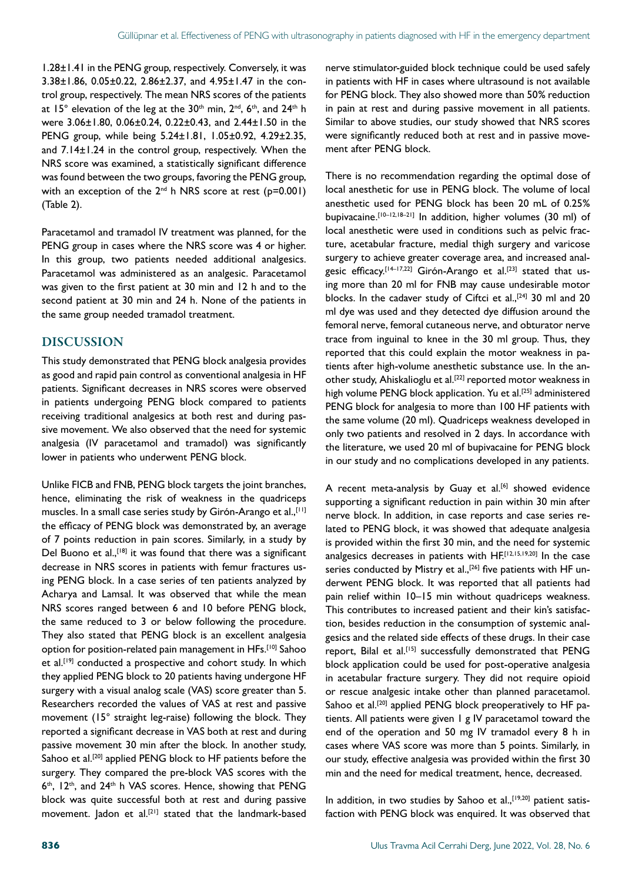1.28±1.41 in the PENG group, respectively. Conversely, it was 3.38±1.86, 0.05±0.22, 2.86±2.37, and 4.95±1.47 in the control group, respectively. The mean NRS scores of the patients at  $15^\circ$  elevation of the leg at the 30<sup>th</sup> min, 2<sup>nd</sup>, 6<sup>th</sup>, and 24<sup>th</sup> h were 3.06±1.80, 0.06±0.24, 0.22±0.43, and 2.44±1.50 in the PENG group, while being 5.24±1.81, 1.05±0.92, 4.29±2.35, and 7.14±1.24 in the control group, respectively. When the NRS score was examined, a statistically significant difference was found between the two groups, favoring the PENG group, with an exception of the  $2^{nd}$  h NRS score at rest (p=0.001) (Table 2).

Paracetamol and tramadol IV treatment was planned, for the PENG group in cases where the NRS score was 4 or higher. In this group, two patients needed additional analgesics. Paracetamol was administered as an analgesic. Paracetamol was given to the first patient at 30 min and 12 h and to the second patient at 30 min and 24 h. None of the patients in the same group needed tramadol treatment.

## DISCUSSION

This study demonstrated that PENG block analgesia provides as good and rapid pain control as conventional analgesia in HF patients. Significant decreases in NRS scores were observed in patients undergoing PENG block compared to patients receiving traditional analgesics at both rest and during passive movement. We also observed that the need for systemic analgesia (IV paracetamol and tramadol) was significantly lower in patients who underwent PENG block.

Unlike FICB and FNB, PENG block targets the joint branches, hence, eliminating the risk of weakness in the quadriceps muscles. In a small case series study by Girón-Arango et al., [11] the efficacy of PENG block was demonstrated by, an average of 7 points reduction in pain scores. Similarly, in a study by Del Buono et al.,  $[18]$  it was found that there was a significant decrease in NRS scores in patients with femur fractures using PENG block. In a case series of ten patients analyzed by Acharya and Lamsal. It was observed that while the mean NRS scores ranged between 6 and 10 before PENG block, the same reduced to 3 or below following the procedure. They also stated that PENG block is an excellent analgesia option for position-related pain management in HFs.<sup>[10]</sup> Sahoo et al.<sup>[19]</sup> conducted a prospective and cohort study. In which they applied PENG block to 20 patients having undergone HF surgery with a visual analog scale (VAS) score greater than 5. Researchers recorded the values of VAS at rest and passive movement (15° straight leg-raise) following the block. They reported a significant decrease in VAS both at rest and during passive movement 30 min after the block. In another study, Sahoo et al.<sup>[20]</sup> applied PENG block to HF patients before the surgery. They compared the pre-block VAS scores with the  $6<sup>th</sup>$ , 12<sup>th</sup>, and 24<sup>th</sup> h VAS scores. Hence, showing that PENG block was quite successful both at rest and during passive movement. Jadon et al.<sup>[21]</sup> stated that the landmark-based

nerve stimulator-guided block technique could be used safely in patients with HF in cases where ultrasound is not available for PENG block. They also showed more than 50% reduction in pain at rest and during passive movement in all patients. Similar to above studies, our study showed that NRS scores were significantly reduced both at rest and in passive movement after PENG block.

There is no recommendation regarding the optimal dose of local anesthetic for use in PENG block. The volume of local anesthetic used for PENG block has been 20 mL of 0.25% bupivacaine.[10–12,18–21] In addition, higher volumes (30 ml) of local anesthetic were used in conditions such as pelvic fracture, acetabular fracture, medial thigh surgery and varicose surgery to achieve greater coverage area, and increased analgesic efficacy.[14–17,22] Girón-Arango et al.[23] stated that using more than 20 ml for FNB may cause undesirable motor blocks. In the cadaver study of Ciftci et al.,<sup>[24]</sup> 30 ml and 20 ml dye was used and they detected dye diffusion around the femoral nerve, femoral cutaneous nerve, and obturator nerve trace from inguinal to knee in the 30 ml group. Thus, they reported that this could explain the motor weakness in patients after high-volume anesthetic substance use. In the another study, Ahiskalioglu et al.<sup>[22]</sup> reported motor weakness in high volume PENG block application. Yu et al.<sup>[25]</sup> administered PENG block for analgesia to more than 100 HF patients with the same volume (20 ml). Quadriceps weakness developed in only two patients and resolved in 2 days. In accordance with the literature, we used 20 ml of bupivacaine for PENG block in our study and no complications developed in any patients.

A recent meta-analysis by Guay et al.<sup>[6]</sup> showed evidence supporting a significant reduction in pain within 30 min after nerve block. In addition, in case reports and case series related to PENG block, it was showed that adequate analgesia is provided within the first 30 min, and the need for systemic analgesics decreases in patients with HF.[12,15,19,20] In the case series conducted by Mistry et al.,<sup>[26]</sup> five patients with HF underwent PENG block. It was reported that all patients had pain relief within 10–15 min without quadriceps weakness. This contributes to increased patient and their kin's satisfaction, besides reduction in the consumption of systemic analgesics and the related side effects of these drugs. In their case report, Bilal et al.<sup>[15]</sup> successfully demonstrated that PENG block application could be used for post-operative analgesia in acetabular fracture surgery. They did not require opioid or rescue analgesic intake other than planned paracetamol. Sahoo et al.<sup>[20]</sup> applied PENG block preoperatively to HF patients. All patients were given 1 g IV paracetamol toward the end of the operation and 50 mg IV tramadol every 8 h in cases where VAS score was more than 5 points. Similarly, in our study, effective analgesia was provided within the first 30 min and the need for medical treatment, hence, decreased.

In addition, in two studies by Sahoo et al., [19,20] patient satisfaction with PENG block was enquired. It was observed that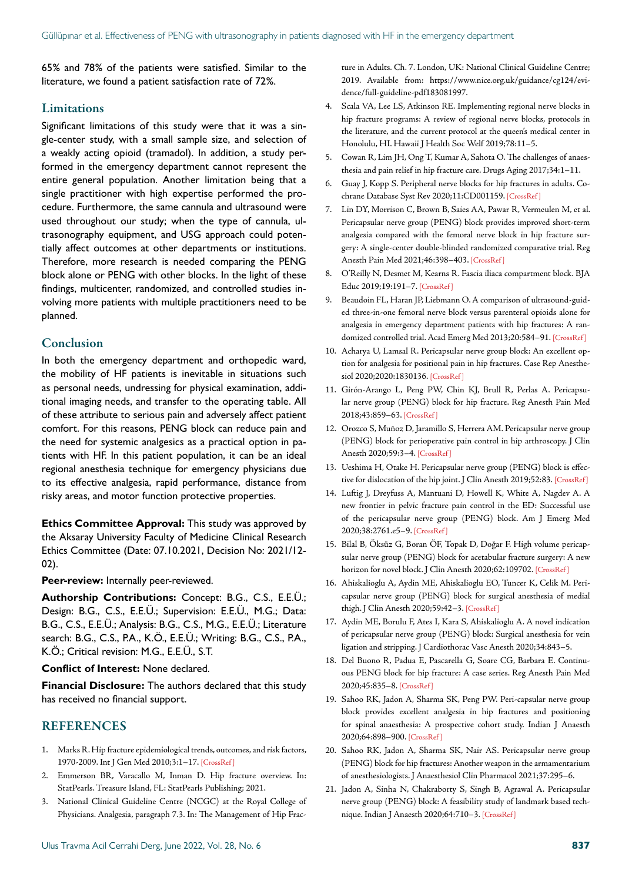65% and 78% of the patients were satisfied. Similar to the literature, we found a patient satisfaction rate of 72%.

#### Limitations

Significant limitations of this study were that it was a single-center study, with a small sample size, and selection of a weakly acting opioid (tramadol). In addition, a study performed in the emergency department cannot represent the entire general population. Another limitation being that a single practitioner with high expertise performed the procedure. Furthermore, the same cannula and ultrasound were used throughout our study; when the type of cannula, ultrasonography equipment, and USG approach could potentially affect outcomes at other departments or institutions. Therefore, more research is needed comparing the PENG block alone or PENG with other blocks. In the light of these findings, multicenter, randomized, and controlled studies involving more patients with multiple practitioners need to be planned.

#### Conclusion

In both the emergency department and orthopedic ward, the mobility of HF patients is inevitable in situations such as personal needs, undressing for physical examination, additional imaging needs, and transfer to the operating table. All of these attribute to serious pain and adversely affect patient comfort. For this reasons, PENG block can reduce pain and the need for systemic analgesics as a practical option in patients with HF. In this patient population, it can be an ideal regional anesthesia technique for emergency physicians due to its effective analgesia, rapid performance, distance from risky areas, and motor function protective properties.

**Ethics Committee Approval:** This study was approved by the Aksaray University Faculty of Medicine Clinical Research Ethics Committee (Date: 07.10.2021, Decision No: 2021/12- 02).

**Peer-review:** Internally peer-reviewed.

**Authorship Contributions:** Concept: B.G., C.S., E.E.Ü.; Design: B.G., C.S., E.E.Ü.; Supervision: E.E.Ü., M.G.; Data: B.G., C.S., E.E.Ü.; Analysis: B.G., C.S., M.G., E.E.Ü.; Literature search: B.G., C.S., P.A., K.Ö., E.E.Ü.; Writing: B.G., C.S., P.A., K.Ö.; Critical revision: M.G., E.E.Ü., S.T.

#### **Conflict of Interest:** None declared.

**Financial Disclosure:** The authors declared that this study has received no financial support.

#### REFERENCES

- 1. Marks R. Hip fracture epidemiological trends, outcomes, and risk factors, 1970-2009. Int J Gen Med 2010;3:1–[17. \[CrossRef \]](https://doi.org/10.2147/IJGM.S5906)
- 2. Emmerson BR, Varacallo M, Inman D. Hip fracture overview. In: StatPearls. Treasure Island, FL: StatPearls Publishing; 2021.
- 3. National Clinical Guideline Centre (NCGC) at the Royal College of Physicians. Analgesia, paragraph 7.3. In: The Management of Hip Frac-

ture in Adults. Ch. 7. London, UK: National Clinical Guideline Centre; 2019. Available from: https://www.nice.org.uk/guidance/cg124/evidence/full-guideline-pdf183081997.

- 4. Scala VA, Lee LS, Atkinson RE. Implementing regional nerve blocks in hip fracture programs: A review of regional nerve blocks, protocols in the literature, and the current protocol at the queen's medical center in Honolulu, HI. Hawaii J Health Soc Welf 2019;78:11–5.
- 5. Cowan R, Lim JH, Ong T, Kumar A, Sahota O. The challenges of anaesthesia and pain relief in hip fracture care. Drugs [Aging 2017;34:1–11.](https://doi.org/10.1007/s40266-016-0427-5)
- 6. Guay J, Kopp S. Peripheral nerve blocks for hip fractures in adults. Cochrane Database Syst Rev 2020;11:CD00115[9. \[CrossRef \]](https://doi.org/10.1002/14651858.CD001159.pub3)
- 7. Lin DY, Morrison C, Brown B, Saies AA, Pawar R, Vermeulen M, et al. Pericapsular nerve group (PENG) block provides improved short-term analgesia compared with the femoral nerve block in hip fracture surgery: A single-center double-blinded randomized comparative trial. Reg Anesth Pain Med 2021;46:398–40[3. \[CrossRef \]](https://doi.org/10.1136/rapm-2020-102315)
- 8. O'Reilly N, Desmet M, Kearns R. Fascia iliaca compartment block. BJA Educ 2019;19:191–7. [\[CrossRef \]](https://doi.org/10.1016/j.bjae.2019.03.001)
- 9. Beaudoin FL, Haran JP, Liebmann O. A comparison of ultrasound-guided three-in-one femoral nerve block versus parenteral opioids alone for analgesia in emergency department patients with hip fractures: A randomized controlled trial. Acad Emerg Med 2013;20:584[–91. \[CrossRef \]](https://doi.org/10.1111/acem.12154)
- 10. Acharya U, Lamsal R. Pericapsular nerve group block: An excellent option for analgesia for positional pain in hip fractures. Case Rep Anesthesiol 2020;2020:1830136[. \[CrossRef \]](https://doi.org/10.1155/2020/1830136)
- 11. Girón-Arango L, Peng PW, Chin KJ, Brull R, Perlas A. Pericapsular nerve group (PENG) block for hip fracture. Reg Anesth Pain Med 2018;43:859–6[3. \[CrossRef \]](https://doi.org/10.1097/AAP.0000000000000847)
- 12. Orozco S, Muñoz D, Jaramillo S, Herrera AM. Pericapsular nerve group (PENG) block for perioperative pain control in hip arthroscopy. J Clin Anesth 2020;59:3–4. [\[CrossRef \]](https://doi.org/10.1016/j.jclinane.2019.04.037)
- 13. Ueshima H, Otake H. Pericapsular nerve group (PENG) block is effective for dislocation of the hip joint. J Clin Anesth 2019;52:8[3. \[CrossRef \]](https://doi.org/10.1016/j.jclinane.2018.09.022)
- 14. Luftig J, Dreyfuss A, Mantuani D, Howell K, White A, Nagdev A. A new frontier in pelvic fracture pain control in the ED: Successful use of the pericapsular nerve group (PENG) block. Am J Emerg Med 2020;38:2761.e5–[9. \[CrossRef \]](https://doi.org/10.1016/j.ajem.2020.05.085)
- 15. Bilal B, Öksüz G, Boran ÖF, Topak D, Doğar F. High volume pericapsular nerve group (PENG) block for acetabular fracture surgery: A new horizon for novel block. J Clin Anesth 2020;62:109702. [CrossRef]
- 16. Ahiskalioglu A, Aydin ME, Ahiskalioglu EO, Tuncer K, Celik M. Pericapsular nerve group (PENG) block for surgical anesthesia of medial thigh. J Clin Anesth 2020;59:42–3. [\[CrossRef \]](https://doi.org/10.1016/j.jclinane.2019.06.021)
- 17. Aydin ME, Borulu F, Ates I, Kara S, Ahiskalioglu A. A novel indication of pericapsular nerve group (PENG) block: Surgical anesthesia for vein ligation and stripping. J Cardiothorac Vasc Anes[th 2020;34:843–5.](https://doi.org/10.1053/j.jvca.2019.08.006)
- 18. Del Buono R, Padua E, Pascarella G, Soare CG, Barbara E. Continuous PENG block for hip fracture: A case series. Reg Anesth Pain Med 2020;45:835–[8. \[CrossRef \]](https://doi.org/10.1136/rapm-2020-101446)
- 19. Sahoo RK, Jadon A, Sharma SK, Peng PW. Peri-capsular nerve group block provides excellent analgesia in hip fractures and positioning for spinal anaesthesia: A prospective cohort study. Indian J Anaesth 2020;64:898–900. [\[CrossRef \]](https://doi.org/10.4103/ija.IJA_450_20)
- 20. Sahoo RK, Jadon A, Sharma SK, Nair AS. Pericapsular nerve group (PENG) block for hip fractures: Another weapon in the armamentarium of anesthesiologists. J Anaesthesiol Clin Pharmacol [2021;37:295–6.](https://doi.org/10.4103/joacp.JOACP_295_20)
- 21. Jadon A, Sinha N, Chakraborty S, Singh B, Agrawal A. Pericapsular nerve group (PENG) block: A feasibility study of landmark based technique. Indian J Anaesth 2020;64:710–3. [\[CrossRef \]](https://doi.org/10.4103/ija.IJA_388_20)